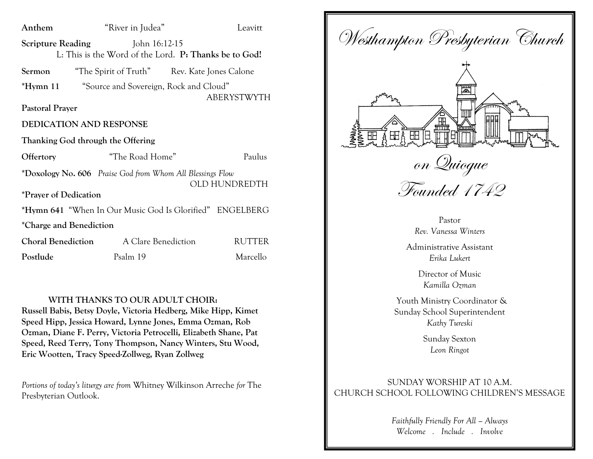| Anthem                            | "River in Judea"                                                       | Leavitt            |
|-----------------------------------|------------------------------------------------------------------------|--------------------|
| <b>Scripture Reading</b>          | John 16:12-15<br>L: This is the Word of the Lord. P: Thanks be to God! |                    |
| Sermon                            | "The Spirit of Truth" Rev. Kate Jones Calone                           |                    |
| $*Hymn 11$                        | "Source and Sovereign, Rock and Cloud"                                 | <b>ABERYSTWYTH</b> |
| <b>Pastoral Prayer</b>            |                                                                        |                    |
| <b>DEDICATION AND RESPONSE</b>    |                                                                        |                    |
| Thanking God through the Offering |                                                                        |                    |
| Offertory                         | "The Road Home"                                                        | Paulus             |
|                                   | *Doxology No. 606 Praise God from Whom All Blessings Flow              | OLD HUNDREDTH      |
| <i>*Prayer of Dedication</i>      |                                                                        |                    |
|                                   | *Hymn 641 "When In Our Music God Is Glorified" ENGELBERG               |                    |
| *Charge and Benediction           |                                                                        |                    |
| <b>Choral Benediction</b>         | A Clare Benediction                                                    | <b>RUTTER</b>      |
| Postlude                          | Psalm 19                                                               | Marcello           |
|                                   |                                                                        |                    |

#### **WITH THANKS TO OUR ADULT CHOIR:**

**Russell Babis, Betsy Doyle, Victoria Hedberg, Mike Hipp, Kimet Speed Hipp, Jessica Howard, Lynne Jones, Emma Ozman, Rob Ozman, Diane F. Perry, Victoria Petrocelli, Elizabeth Shane, Pat Speed, Reed Terry, Tony Thompson, Nancy Winters, Stu Wood, Eric Wootten, Tracy Speed-Zollweg, Ryan Zollweg** 

*Portions of today's liturgy are from* Whitney Wilkinson Arreche *for* The Presbyterian Outlook.

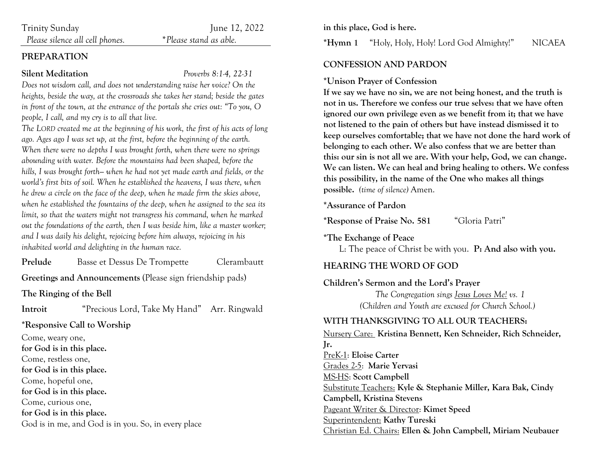| Trinity Sunday |
|----------------|
|                |

June 12, 2022

 *Please silence all cell phones. \*Please stand as able.*

#### **PREPARATION**

#### **Silent Meditation** *Proverbs 8:1-4, 22-31*

*Does not wisdom call, and does not understanding raise her voice? On the heights, beside the way, at the crossroads she takes her stand; beside the gates in front of the town, at the entrance of the portals she cries out: "To you, O people, I call, and my cry is to all that live.*

*The LORD created me at the beginning of his work, the first of his acts of long ago. Ages ago I was set up, at the first, before the beginning of the earth. When there were no depths I was brought forth, when there were no springs abounding with water. Before the mountains had been shaped, before the hills, I was brought forth— when he had not yet made earth and fields, or the world's first bits of soil. When he established the heavens, I was there, when he drew a circle on the face of the deep, when he made firm the skies above, when he established the fountains of the deep, when he assigned to the sea its limit, so that the waters might not transgress his command, when he marked out the foundations of the earth, then I was beside him, like a master worker; and I was daily his delight, rejoicing before him always, rejoicing in his inhabited world and delighting in the human race.*

**Prelude** Basse et Dessus De Trompette Clerambautt

**Greetings and Announcements** (Please sign friendship pads)

**The Ringing of the Bell**

**Introit** "Precious Lord, Take My Hand" Arr. Ringwald

**\*Responsive Call to Worship** 

Come, weary one, **for God is in this place.**  Come, restless one, **for God is in this place.**  Come, hopeful one, **for God is in this place.**  Come, curious one, **for God is in this place.**  God is in me, and God is in you. So, in every place **in this place, God is here.**

**\*Hymn 1** "Holy, Holy, Holy! Lord God Almighty!" NICAEA

#### **CONFESSION AND PARDON**

#### **\*Unison Prayer of Confession**

**If we say we have no sin, we are not being honest, and the truth is not in us. Therefore we confess our true selves: that we have often ignored our own privilege even as we benefit from it; that we have not listened to the pain of others but have instead dismissed it to keep ourselves comfortable; that we have not done the hard work of belonging to each other. We also confess that we are better than this: our sin is not all we are. With your help, God, we can change. We can listen. We can heal and bring healing to others. We confess this possibility, in the name of the One who makes all things possible.** *(time of silence)* Amen.

#### **\*Assurance of Pardon**

**\*Response of Praise No. 581** "Gloria Patri"

**\*The Exchange of Peace**

L: The peace of Christ be with you. **P: And also with you.**

### **HEARING THE WORD OF GOD**

#### **Children's Sermon and the Lord's Prayer**

*The Congregation sings Jesus Loves Me! vs. 1 (Children and Youth are excused for Church School.)*

### **WITH THANKSGIVING TO ALL OUR TEACHERS:**

Nursery Care: **Kristina Bennett, Ken Schneider, Rich Schneider, Jr.** PreK-1: **Eloise Carter** Grades 2-5: **Marie Yervasi** MS-HS: **Scott Campbell** Substitute Teachers: **Kyle & Stephanie Miller, Kara Bak, Cindy Campbell, Kristina Stevens** Pageant Writer & Director: **Kimet Speed** Superintendent: **Kathy Tureski** Christian Ed. Chairs: **Ellen & John Campbell, Miriam Neubauer**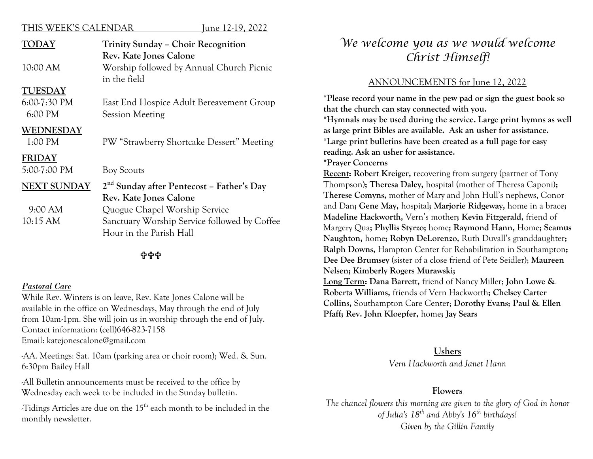#### THIS WEEK'S CALENDAR June 12-19, 2022

| <b>TODAY</b>       | Trinity Sunday - Choir Recognition                    |  |
|--------------------|-------------------------------------------------------|--|
|                    | Rev. Kate Jones Calone                                |  |
| 10:00 AM           | Worship followed by Annual Church Picnic              |  |
|                    | in the field                                          |  |
| <b>TUESDAY</b>     |                                                       |  |
| $6:00-7:30$ PM     | East End Hospice Adult Bereavement Group              |  |
| 6:00 PM            | <b>Session Meeting</b>                                |  |
| <b>WEDNESDAY</b>   |                                                       |  |
| 1:00 PM            | PW "Strawberry Shortcake Dessert" Meeting             |  |
| <b>FRIDAY</b>      |                                                       |  |
| 5:00-7:00 PM       | <b>Boy Scouts</b>                                     |  |
| <b>NEXT SUNDAY</b> | 2 <sup>nd</sup> Sunday after Pentecost - Father's Day |  |
|                    | Rev. Kate Jones Calone                                |  |
| 9:00 AM            | Quogue Chapel Worship Service                         |  |
| 10:15 AM           | Sanctuary Worship Service followed by Coffee          |  |

Hour in the Parish Hall

### **슈슈슈**

#### *Pastoral Care*

While Rev. Winters is on leave, Rev. Kate Jones Calone will be available in the office on Wednesdays, May through the end of July from 10am-1pm. She will join us in worship through the end of July. Contact information: (cell)646-823-7158 Email: katejonescalone@gmail.com

-AA. Meetings: Sat. 10am (parking area or choir room); Wed. & Sun. 6:30pm Bailey Hall

-All Bulletin announcements must be received to the office by Wednesday each week to be included in the Sunday bulletin.

-Tidings Articles are due on the 15th each month to be included in the monthly newsletter.

# *We welcome you as we would welcome Christ Himself!*

#### ANNOUNCEMENTS for June 12, 2022

**\*Please record your name in the pew pad or sign the guest book so that the church can stay connected with you.**

**\*Hymnals may be used during the service. Large print hymns as well as large print Bibles are available. Ask an usher for assistance. \*Large print bulletins have been created as a full page for easy reading. Ask an usher for assistance.**

**\*Prayer Concerns** 

**Recent: Robert Kreiger,** recovering from surgery (partner of Tony Thompson)**; Theresa Daley,** hospital (mother of Theresa Caponi**); Therese Comyns,** mother of Mary and John Hull's nephews, Conor and Dan**; Gene May,** hospital**; Marjorie Ridgeway,** home in a brace**; Madeline Hackworth,** Vern's mother**; Kevin Fitzgerald,** friend of Margery Qua**; Phyllis Styrzo;** home**; Raymond Hann,** Home**; Seamus Naughton,** home**; Robyn DeLorenzo,** Ruth Duvall's granddaughter**; Ralph Downs,** Hampton Center for Rehabilitation in Southampton**; Dee Dee Brumsey** (sister of a close friend of Pete Seidler); **Maureen Nelsen; Kimberly Rogers Murawski;** 

**Long Term: Dana Barrett,** friend of Nancy Miller; **John Lowe & Roberta Williams,** friends of Vern Hackworth**; Chelsey Carter Collins,** Southampton Care Center; **Dorothy Evans; Paul & Ellen Pfaff; Rev. John Kloepfer,** home**; Jay Sears**

#### **Ushers**

*Vern Hackworth and Janet Hann*

#### **Flowers**

*The chancel flowers this morning are given to the glory of God in honor of Julia's 18th and Abby's 16th birthdays! Given by the Gillin Family*